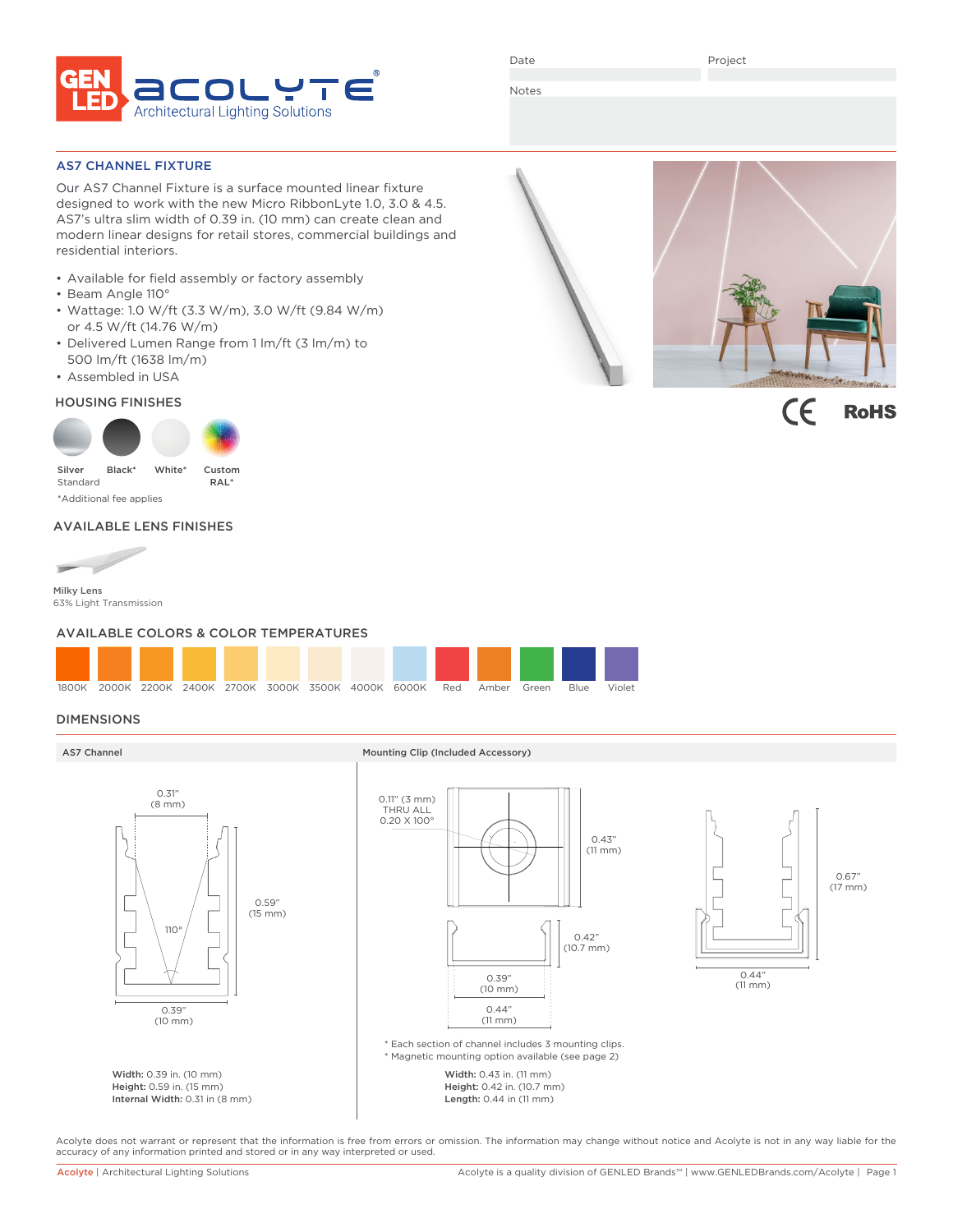

Date

Project

Notes

### AS7 CHANNEL FIXTURE

Our AS7 Channel Fixture is a surface mounted linear fixture designed to work with the new Micro RibbonLyte 1.0, 3.0 & 4.5. AS7's ultra slim width of 0.39 in. (10 mm) can create clean and modern linear designs for retail stores, commercial buildings and residential interiors.

- Available for field assembly or factory assembly
- Beam Angle 110°
- Wattage: 1.0 W/ft (3.3 W/m), 3.0 W/ft (9.84 W/m) or 4.5 W/ft (14.76 W/m)
- Delivered Lumen Range from 1 lm/ft (3 lm/m) to 500 lm/ft (1638 lm/m)
- Assembled in USA

# HOUSING FINISHES



# AVAILABLE LENS FINISHES



63% Light Transmission

### AVAILABLE COLORS & COLOR TEMPERATURES



# DIMENSIONS



Acolyte does not warrant or represent that the information is free from errors or omission. The information may change without notice and Acolyte is not in any way liable for the accuracy of any information printed and stored or in any way interpreted or used.



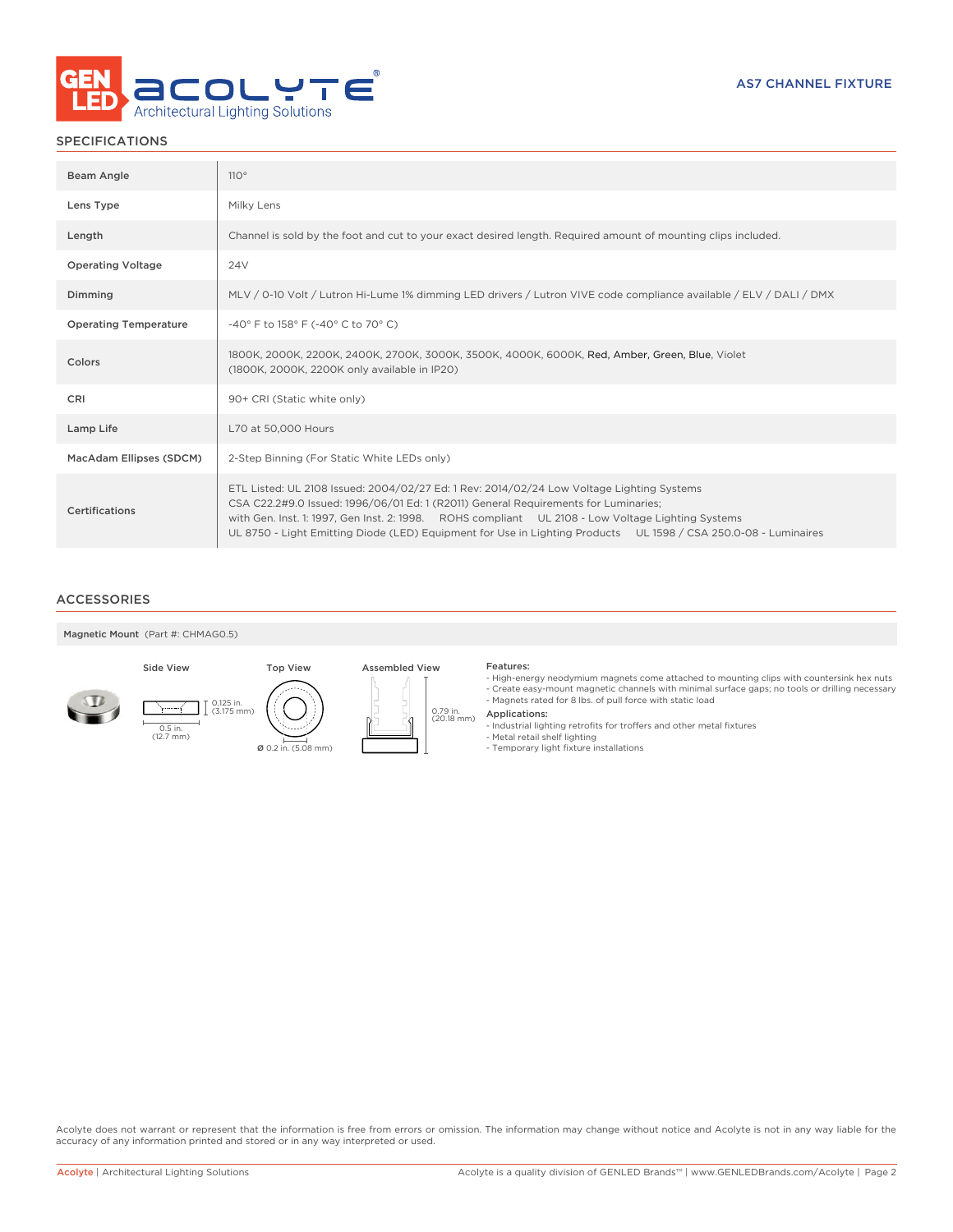

# SPECIFICATIONS

| Beam Angle                   | 110°                                                                                                                                                                                                                                                                                                                                                                                                     |
|------------------------------|----------------------------------------------------------------------------------------------------------------------------------------------------------------------------------------------------------------------------------------------------------------------------------------------------------------------------------------------------------------------------------------------------------|
| Lens Type                    | Milky Lens                                                                                                                                                                                                                                                                                                                                                                                               |
| Length                       | Channel is sold by the foot and cut to your exact desired length. Required amount of mounting clips included.                                                                                                                                                                                                                                                                                            |
| <b>Operating Voltage</b>     | <b>24V</b>                                                                                                                                                                                                                                                                                                                                                                                               |
| Dimming                      | MLV / 0-10 Volt / Lutron Hi-Lume 1% dimming LED drivers / Lutron VIVE code compliance available / ELV / DALI / DMX                                                                                                                                                                                                                                                                                       |
| <b>Operating Temperature</b> | -40° F to 158° F (-40° C to 70° C)                                                                                                                                                                                                                                                                                                                                                                       |
| Colors                       | 1800K, 2000K, 2200K, 2400K, 2700K, 3000K, 3500K, 4000K, 6000K, Red, Amber, Green, Blue, Violet<br>(1800K, 2000K, 2200K only available in IP20)                                                                                                                                                                                                                                                           |
| <b>CRI</b>                   | 90+ CRI (Static white only)                                                                                                                                                                                                                                                                                                                                                                              |
| Lamp Life                    | L70 at 50,000 Hours                                                                                                                                                                                                                                                                                                                                                                                      |
| MacAdam Ellipses (SDCM)      | 2-Step Binning (For Static White LEDs only)                                                                                                                                                                                                                                                                                                                                                              |
| Certifications               | ETL Listed: UL 2108 Issued: 2004/02/27 Ed: 1 Rev: 2014/02/24 Low Voltage Lighting Systems<br>CSA C22.2#9.0 Issued: 1996/06/01 Ed: 1 (R2011) General Requirements for Luminaries;<br>with Gen. Inst. 1: 1997, Gen Inst. 2: 1998. ROHS compliant UL 2108 - Low Voltage Lighting Systems<br>UL 8750 - Light Emitting Diode (LED) Equipment for Use in Lighting Products UL 1598 / CSA 250.0-08 - Luminaires |

### ACCESSORIES









- High-energy neodymium magnets come attached to mounting clips with countersink hex nuts - Create easy-mount magnetic channels with minimal surface gaps; no tools or drilling necessary - Magnets rated for 8 lbs. of pull force with static load
- 
- 0.79 in.<br>(20.18 mm) Applications:
	- Industrial lighting retrofits for troffers and other metal fixtures Metal retail shelf lighting Temporary light fixture installations
	-
	-

Acolyte does not warrant or represent that the information is free from errors or omission. The information may change without notice and Acolyte is not in any way liable for the accuracy of any information printed and stored or in any way interpreted or used.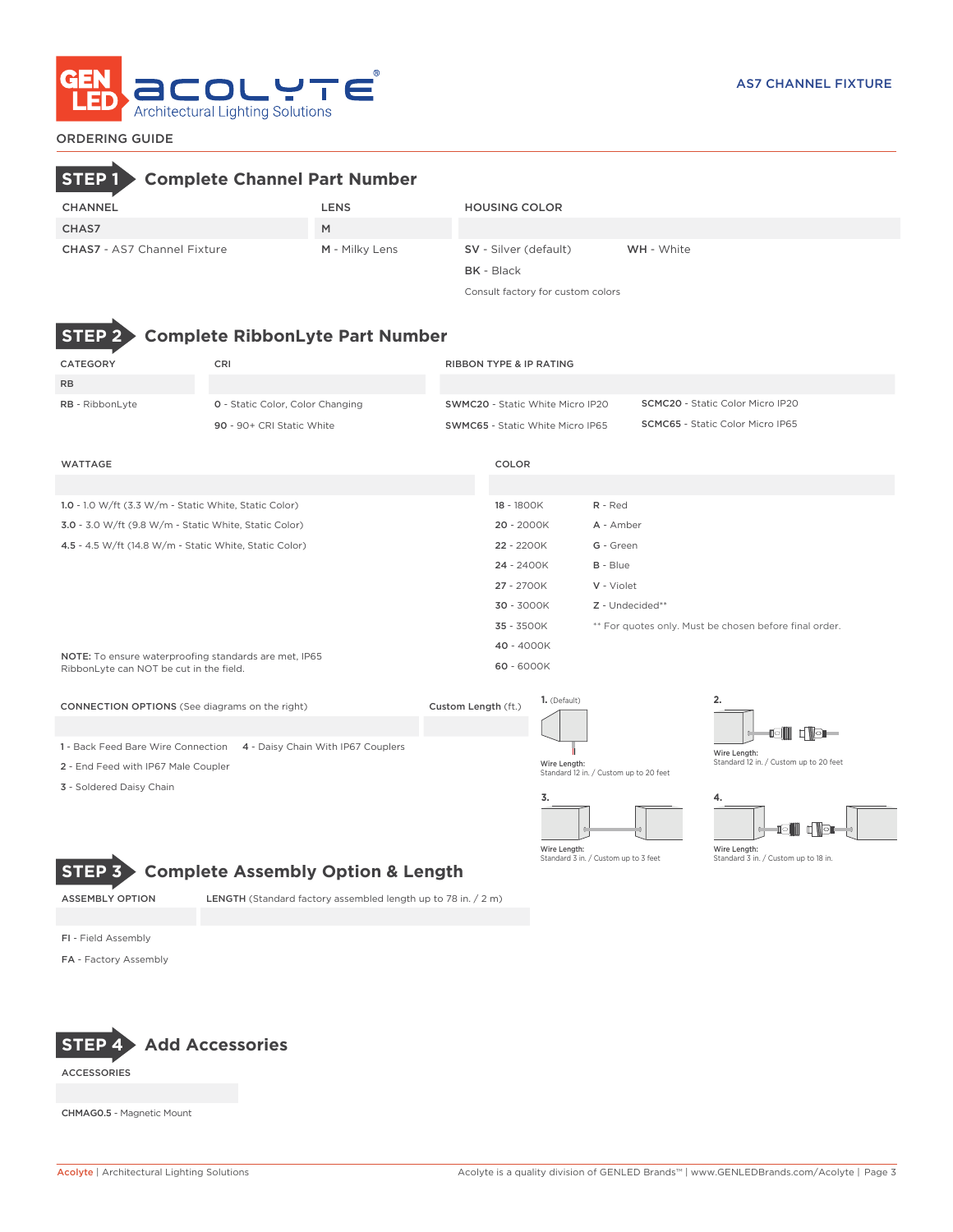

# ORDERING GUIDE

# **STEP 1 Complete Channel Part Number**

| CHANNEL                            | LENS           | <b>HOUSING COLOR</b>  |                   |
|------------------------------------|----------------|-----------------------|-------------------|
| CHAS7                              | M              |                       |                   |
| <b>CHAS7</b> - AS7 Channel Fixture | M - Milky Lens | SV - Silver (default) | <b>WH</b> - White |
|                                    |                | <b>BK</b> - Black     |                   |

Consult factory for custom colors



# **STEP 2 Complete RibbonLyte Part Number**

| CATEGORY                                                                                         | CRI                                                                   |                     | <b>RIBBON TYPE &amp; IP RATING</b> |                                         |                                                        |                                         |                                        |  |  |
|--------------------------------------------------------------------------------------------------|-----------------------------------------------------------------------|---------------------|------------------------------------|-----------------------------------------|--------------------------------------------------------|-----------------------------------------|----------------------------------------|--|--|
| <b>RB</b>                                                                                        |                                                                       |                     |                                    |                                         |                                                        |                                         |                                        |  |  |
| RB - RibbonLyte                                                                                  | 0 - Static Color, Color Changing                                      |                     |                                    | SWMC20 - Static White Micro IP20        |                                                        | <b>SCMC20</b> - Static Color Micro IP20 |                                        |  |  |
|                                                                                                  | 90 - 90+ CRI Static White                                             |                     |                                    | <b>SWMC65 - Static White Micro IP65</b> | <b>SCMC65</b> - Static Color Micro IP65                |                                         |                                        |  |  |
| <b>WATTAGE</b>                                                                                   |                                                                       |                     | COLOR                              |                                         |                                                        |                                         |                                        |  |  |
|                                                                                                  |                                                                       |                     |                                    |                                         |                                                        |                                         |                                        |  |  |
| 1.0 - 1.0 W/ft (3.3 W/m - Static White, Static Color)                                            |                                                                       |                     | 18 - 1800K                         |                                         | $R - Red$                                              |                                         |                                        |  |  |
| 3.0 - 3.0 W/ft (9.8 W/m - Static White, Static Color)                                            |                                                                       |                     | 20 - 2000K                         |                                         | A - Amber                                              |                                         |                                        |  |  |
| 4.5 - 4.5 W/ft (14.8 W/m - Static White, Static Color)                                           |                                                                       |                     | 22 - 2200K                         |                                         | G - Green                                              |                                         |                                        |  |  |
|                                                                                                  |                                                                       | 24 - 2400K          |                                    | B - Blue                                |                                                        |                                         |                                        |  |  |
|                                                                                                  |                                                                       |                     | 27 - 2700K                         |                                         | V - Violet                                             |                                         |                                        |  |  |
|                                                                                                  |                                                                       |                     | 30 - 3000K                         | Z - Undecided**                         |                                                        |                                         |                                        |  |  |
|                                                                                                  |                                                                       |                     | 35 - 3500K                         |                                         | ** For quotes only. Must be chosen before final order. |                                         |                                        |  |  |
|                                                                                                  |                                                                       |                     | 40 - 4000K                         |                                         |                                                        |                                         |                                        |  |  |
| NOTE: To ensure waterproofing standards are met, IP65<br>RibbonLyte can NOT be cut in the field. |                                                                       |                     | 60 - 6000K                         |                                         |                                                        |                                         |                                        |  |  |
| <b>CONNECTION OPTIONS</b> (See diagrams on the right)                                            |                                                                       | Custom Length (ft.) |                                    | 1. (Default)                            |                                                        |                                         | 2.                                     |  |  |
|                                                                                                  |                                                                       |                     |                                    |                                         |                                                        |                                         | oin<br>$\blacksquare$                  |  |  |
|                                                                                                  | 1 - Back Feed Bare Wire Connection 4 - Daisy Chain With IP67 Couplers |                     |                                    |                                         |                                                        |                                         | Wire Length:                           |  |  |
| 2 - End Feed with IP67 Male Coupler                                                              |                                                                       |                     |                                    | Wire Length:                            | Standard 12 in. / Custom up to 20 feet                 |                                         | Standard 12 in. / Custom up to 20 feet |  |  |
| 3 - Soldered Daisy Chain                                                                         |                                                                       |                     |                                    | 3.                                      |                                                        |                                         |                                        |  |  |
|                                                                                                  |                                                                       |                     |                                    |                                         |                                                        |                                         |                                        |  |  |



Wire Length: Standard 3 in. / Custom up to 18 in.

∥d

# **STEP 3 Complete Assembly Option & Length**

ASSEMBLY OPTION LENGTH (Standard factory assembled length up to 78 in. / 2 m)

FI - Field Assembly

FA - Factory Assembly



ACCESSORIES

CHMAG0.5 - Magnetic Mount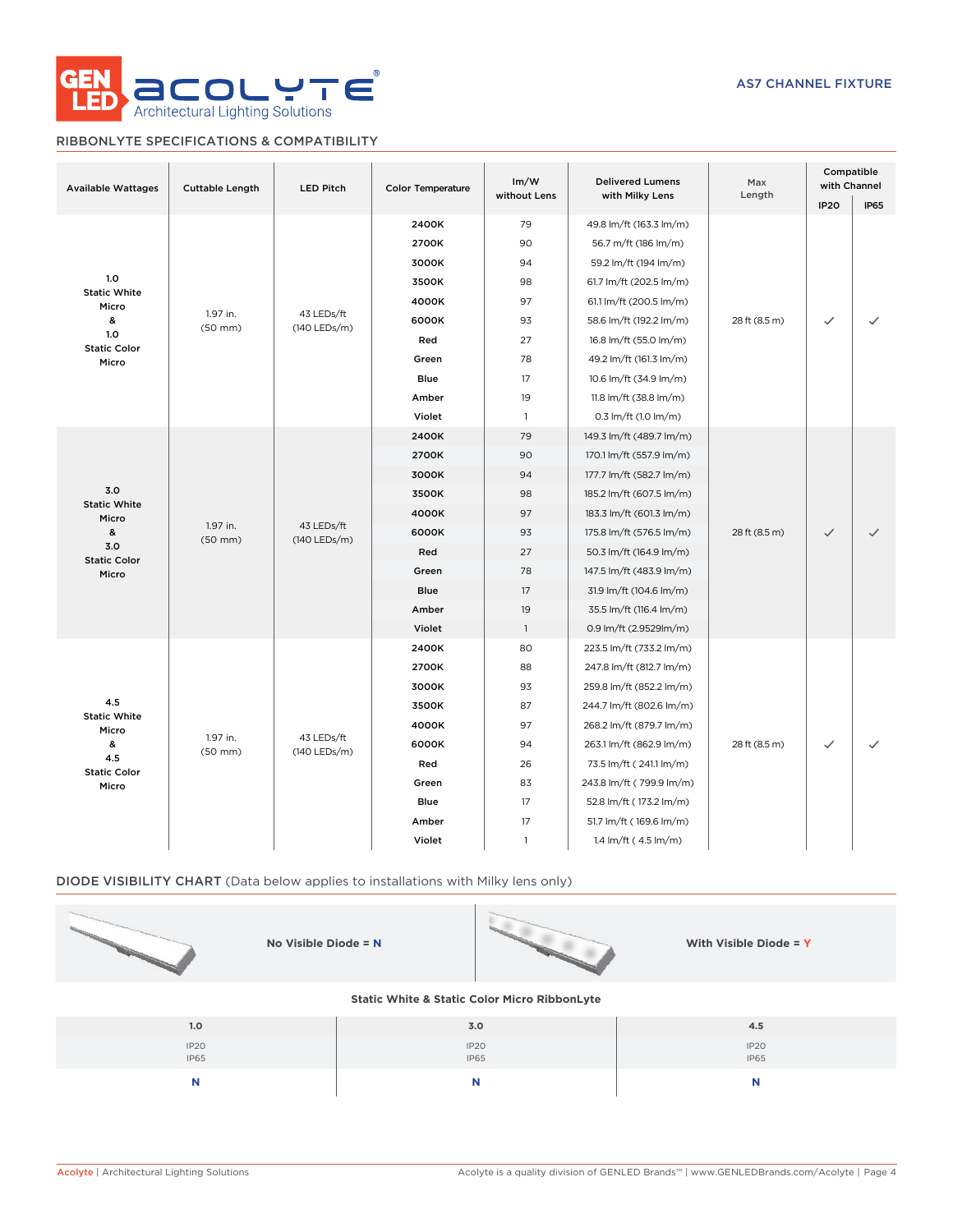

# RIBBONLYTE SPECIFICATIONS & COMPATIBILITY

| <b>Available Wattages</b>    | <b>Cuttable Length</b>   | <b>LED Pitch</b>           | <b>Color Temperature</b>                | Im/W           | <b>Delivered Lumens</b><br>without Lens<br>with Milky Lens |               | Compatible<br>with Channel |       |    |                          |    |                          |               |
|------------------------------|--------------------------|----------------------------|-----------------------------------------|----------------|------------------------------------------------------------|---------------|----------------------------|-------|----|--------------------------|----|--------------------------|---------------|
|                              |                          |                            |                                         |                | Length                                                     | <b>IP20</b>   | <b>IP65</b>                |       |    |                          |    |                          |               |
|                              |                          |                            | 2400K                                   | 79             | 49.8 lm/ft (163.3 lm/m)                                    |               |                            |       |    |                          |    |                          |               |
|                              |                          |                            | 2700K                                   | 90             | 56.7 m/ft (186 lm/m)                                       |               |                            |       |    |                          |    |                          |               |
|                              |                          |                            | 3000K                                   | 94             | 59.2 lm/ft (194 lm/m)                                      |               |                            |       |    |                          |    |                          |               |
| 1.0<br><b>Static White</b>   |                          |                            | 3500K                                   | 98             | 61.7 lm/ft (202.5 lm/m)                                    |               |                            |       |    |                          |    |                          |               |
| Micro                        |                          |                            | 4000K                                   | 97             | 61.1 lm/ft (200.5 lm/m)                                    |               |                            |       |    |                          |    |                          |               |
| &                            | 1.97 in.<br>$(50$ mm $)$ | 43 LEDs/ft<br>(140 LEDs/m) | 6000K                                   | 93             | 58.6 lm/ft (192.2 lm/m)                                    | 28 ft (8.5 m) | $\checkmark$               |       |    |                          |    |                          |               |
| 1.0<br><b>Static Color</b>   |                          |                            | Red<br>27<br>16.8 lm/ft (55.0 lm/m)     |                |                                                            |               |                            |       |    |                          |    |                          |               |
| Micro                        |                          |                            | Green                                   | 78             | 49.2 lm/ft (161.3 lm/m)                                    |               |                            |       |    |                          |    |                          |               |
|                              |                          |                            | Blue                                    | 17             | 10.6 lm/ft (34.9 lm/m)                                     |               |                            |       |    |                          |    |                          |               |
|                              |                          |                            | Amber                                   | 19             | 11.8 lm/ft (38.8 lm/m)                                     |               |                            |       |    |                          |    |                          |               |
|                              |                          |                            | Violet                                  | $\overline{1}$ | 0.3 lm/ft (1.0 lm/m)                                       |               |                            |       |    |                          |    |                          |               |
|                              |                          |                            | 2400K                                   | 79             | 149.3 lm/ft (489.7 lm/m)                                   |               |                            |       |    |                          |    |                          |               |
|                              |                          |                            | 2700K                                   | 90             | 170.1 lm/ft (557.9 lm/m)                                   |               |                            |       |    |                          |    |                          |               |
|                              |                          | 43 LEDs/ft<br>(140 LEDs/m) | 3000K                                   | 94             | 177.7 lm/ft (582.7 lm/m)                                   |               |                            |       |    |                          |    |                          |               |
| 3.0                          |                          |                            | 3500K                                   | 98             | 185.2 lm/ft (607.5 lm/m)                                   |               |                            |       |    |                          |    |                          |               |
| <b>Static White</b><br>Micro | 1.97 in.<br>$(50$ mm $)$ |                            |                                         |                |                                                            |               |                            | 4000K | 97 | 183.3 lm/ft (601.3 lm/m) |    |                          |               |
| &                            |                          |                            |                                         |                |                                                            |               |                            |       |    | 6000K                    | 93 | 175.8 lm/ft (576.5 lm/m) | 28 ft (8.5 m) |
| 3.0<br><b>Static Color</b>   |                          |                            | Red                                     | 27             | 50.3 lm/ft (164.9 lm/m)                                    |               |                            |       |    |                          |    |                          |               |
| Micro                        |                          |                            | 78<br>Green<br>147.5 lm/ft (483.9 lm/m) |                |                                                            |               |                            |       |    |                          |    |                          |               |
|                              |                          |                            | <b>Blue</b>                             | 17             | 31.9 lm/ft (104.6 lm/m)                                    |               |                            |       |    |                          |    |                          |               |
|                              |                          |                            | Amber                                   | 19             | 35.5 lm/ft (116.4 lm/m)                                    |               |                            |       |    |                          |    |                          |               |
|                              |                          |                            | Violet                                  | $\overline{1}$ | 0.9 lm/ft (2.9529lm/m)                                     |               |                            |       |    |                          |    |                          |               |
|                              |                          |                            | 2400K                                   | 80             | 223.5 lm/ft (733.2 lm/m)                                   |               |                            |       |    |                          |    |                          |               |
|                              |                          |                            | 2700K                                   | 88             | 247.8 lm/ft (812.7 lm/m)                                   |               |                            |       |    |                          |    |                          |               |
|                              |                          |                            | 3000K                                   | 93             | 259.8 lm/ft (852.2 lm/m)                                   |               |                            |       |    |                          |    |                          |               |
| 4.5                          |                          | 43 LEDs/ft<br>(140 LEDs/m) | 3500K                                   | 87             | 244.7 lm/ft (802.6 lm/m)                                   |               |                            |       |    |                          |    |                          |               |
| <b>Static White</b><br>Micro |                          |                            | 4000K                                   | 97             | 268.2 lm/ft (879.7 lm/m)                                   |               |                            |       |    |                          |    |                          |               |
| &                            | 1.97 in.<br>$(50$ mm $)$ |                            | 6000K                                   | 94             | 263.1 lm/ft (862.9 lm/m)                                   | 28 ft (8.5 m) | $\checkmark$               |       |    |                          |    |                          |               |
| 4.5<br><b>Static Color</b>   |                          |                            | Red                                     | 26             | 73.5 lm/ft (241.1 lm/m)                                    |               |                            |       |    |                          |    |                          |               |
| Micro                        |                          |                            | Green                                   | 83             | 243.8 lm/ft (799.9 lm/m)                                   |               |                            |       |    |                          |    |                          |               |
|                              |                          |                            | Blue                                    | 17             | 52.8 lm/ft (173.2 lm/m)                                    |               |                            |       |    |                          |    |                          |               |
|                              |                          |                            | Amber                                   | 17             | 51.7 lm/ft (169.6 lm/m)                                    |               |                            |       |    |                          |    |                          |               |
|                              |                          |                            | Violet                                  | $\mathbf{1}$   | 1.4 lm/ft (4.5 lm/m)                                       |               |                            |       |    |                          |    |                          |               |

# DIODE VISIBILITY CHART (Data below applies to installations with Milky lens only)

| No Visible Diode = $N$                                  |                     | With Visible Diode = Y          |  |  |  |  |  |  |  |  |  |
|---------------------------------------------------------|---------------------|---------------------------------|--|--|--|--|--|--|--|--|--|
| <b>Static White &amp; Static Color Micro RibbonLyte</b> |                     |                                 |  |  |  |  |  |  |  |  |  |
| 1.0                                                     | 3.0                 | 4.5                             |  |  |  |  |  |  |  |  |  |
| IP <sub>20</sub><br><b>IP65</b>                         | IP20<br><b>IP65</b> | IP <sub>20</sub><br><b>IP65</b> |  |  |  |  |  |  |  |  |  |

**N N N**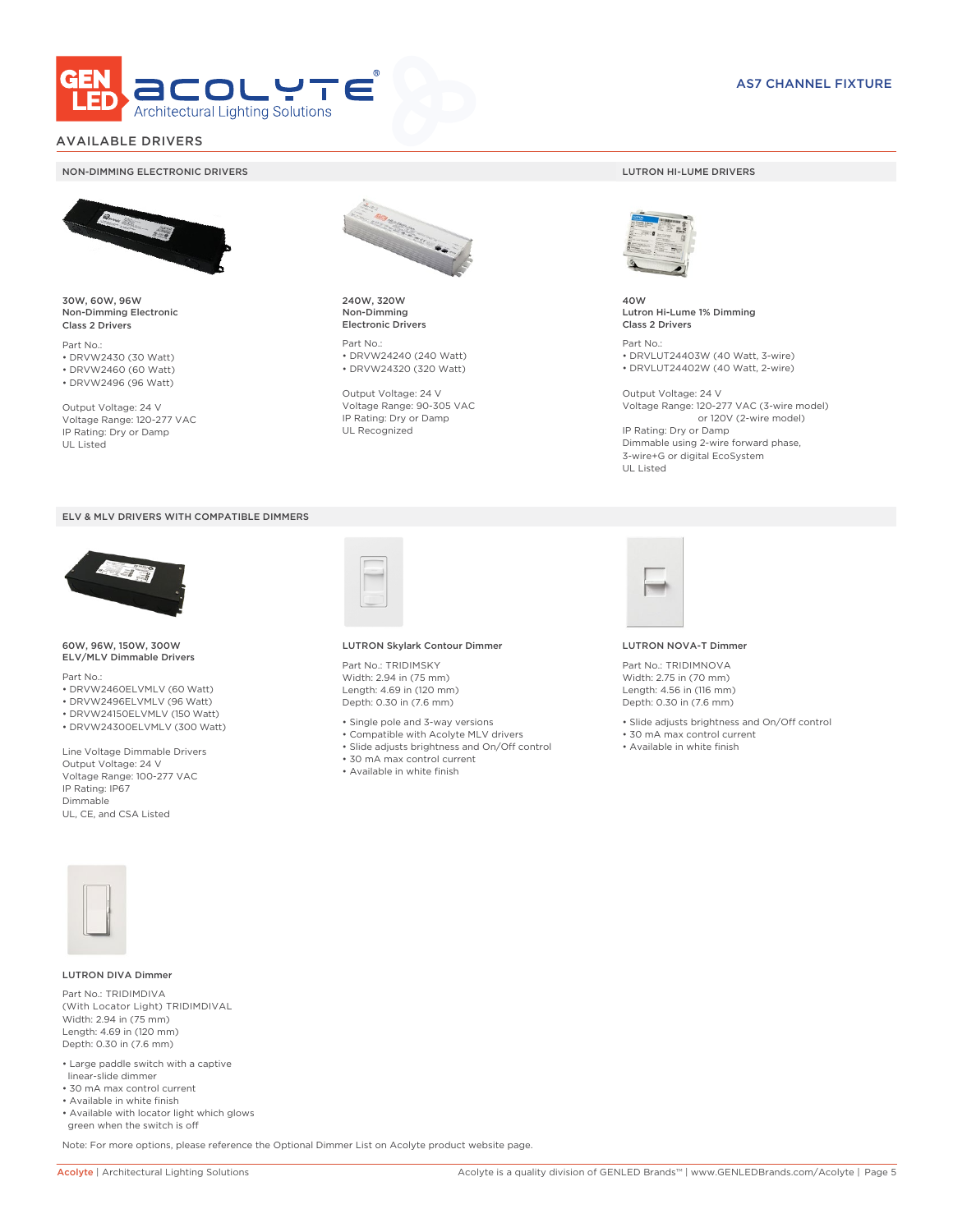

# AVAILABLE DRIVERS

### NON-DIMMING ELECTRONIC DRIVERS LUTRON HI-LUME DRIVERS



30W, 60W, 96W Non-Dimming Electronic Class 2 Drivers

Part No.: • DRVW2430 (30 Watt) • DRVW2460 (60 Watt)

• DRVW2496 (96 Watt)

Output Voltage: 24 V Voltage Range: 120-277 VAC IP Rating: Dry or Damp UL Listed





60W, 96W, 150W, 300W ELV/MLV Dimmable Drivers

Part No.:

- DRVW2460ELVMLV (60 Watt)
- DRVW2496ELVMLV (96 Watt)
- DRVW24150ELVMLV (150 Watt)
- DRVW24300ELVMLV (300 Watt)

Line Voltage Dimmable Drivers Output Voltage: 24 V Voltage Range: 100-277 VAC IP Rating: IP67 Dimmable UL, CE, and CSA Listed



240W, 320W Non-Dimming Electronic Drivers

Part No.: • DRVW24240 (240 Watt) • DRVW24320 (320 Watt)

Output Voltage: 24 V Voltage Range: 90-305 VAC IP Rating: Dry or Damp UL Recognized



40W Lutron Hi-Lume 1% Dimming Class 2 Drivers

Part No.: • DRVLUT24403W (40 Watt, 3-wire) • DRVLUT24402W (40 Watt, 2-wire)

Output Voltage: 24 V Voltage Range: 120-277 VAC (3-wire model) or 120V (2-wire model) IP Rating: Dry or Damp Dimmable using 2-wire forward phase, 3-wire+G or digital EcoSystem UL Listed



### LUTRON Skylark Contour Dimmer

Part No.: TRIDIMSKY Width: 2.94 in (75 mm) Length: 4.69 in (120 mm) Depth: 0.30 in (7.6 mm)

- Single pole and 3-way versions
- Compatible with Acolyte MLV drivers
- Slide adjusts brightness and On/Off control
- 
- Available in white finish



### LUTRON NOVA-T Dimmer

Part No.: TRIDIMNOVA Width: 2.75 in (70 mm) Length: 4.56 in (116 mm) Depth: 0.30 in (7.6 mm)

- Slide adjusts brightness and On/Off control
- 30 mA max control current
- Available in white finish



### LUTRON DIVA Dimmer

Part No.: TRIDIMDIVA (With Locator Light) TRIDIMDIVAL Width: 2.94 in (75 mm) Length: 4.69 in (120 mm) Depth: 0.30 in (7.6 mm)

- Large paddle switch with a captive linear-slide dimmer
- 30 mA max control current
- Available in white finish
- Available with locator light which glows green when the switch is off

Note: For more options, please reference the Optional Dimmer List on Acolyte product website page.

- 
- 
- 30 mA max control current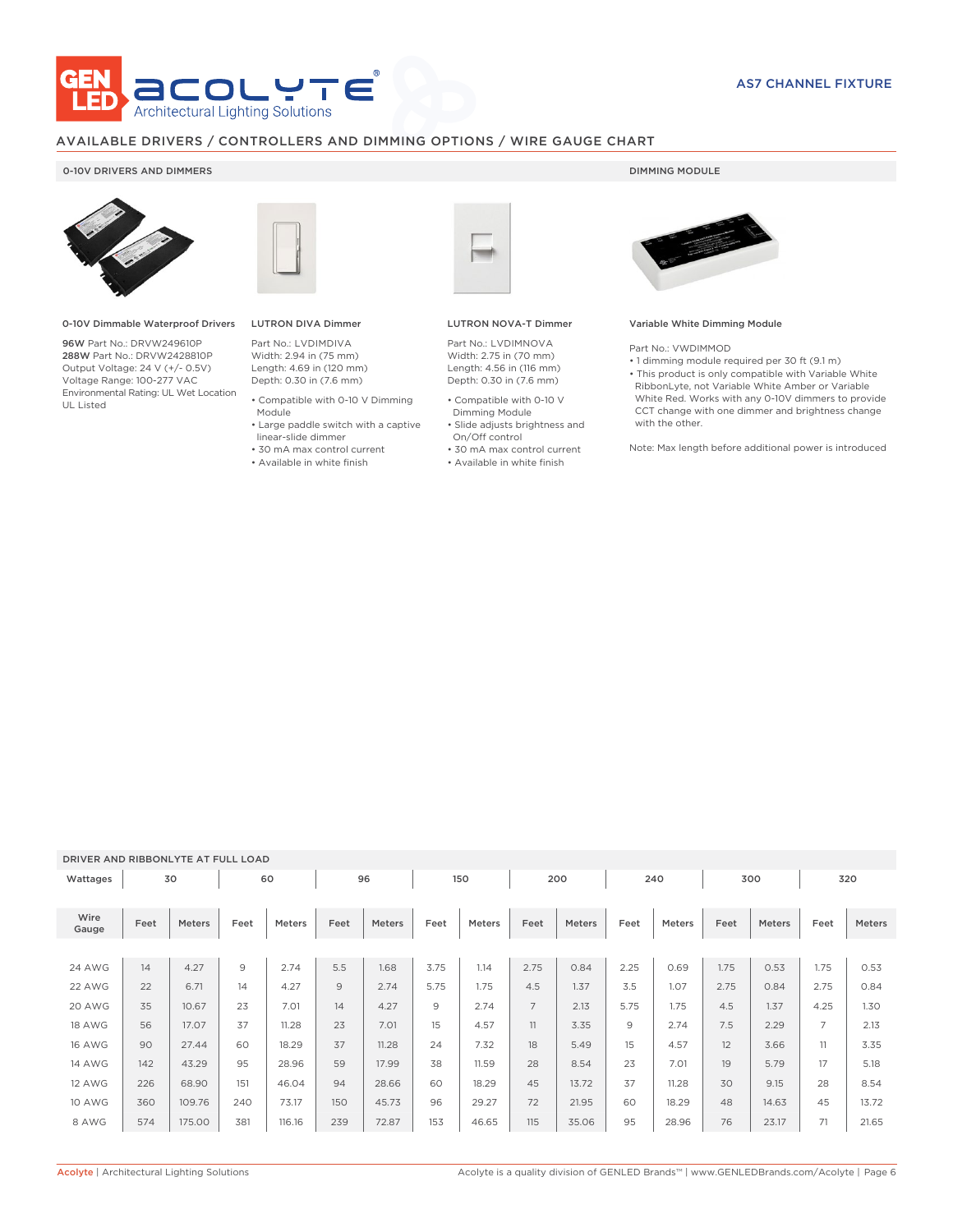

# AVAILABLE DRIVERS / CONTROLLERS AND DIMMING OPTIONS / WIRE GAUGE CHART

### 0-10V DRIVERS AND DIMMERS **DIMMING MODULE**



0-10V Dimmable Waterproof Drivers

96W Part No.: DRVW249610P 288W Part No.: DRVW2428810P Output Voltage: 24 V (+/- 0.5V) Voltage Range: 100-277 VAC Environmental Rating: UL Wet Location UL Listed



# LUTRON DIVA Dimmer

Part No.: LVDIMDIVA Width: 2.94 in (75 mm) Length: 4.69 in (120 mm) Depth: 0.30 in (7.6 mm)

- Compatible with 0-10 V Dimming Module
- Large paddle switch with a captive
- linear-slide dimmer
- 30 mA max control current • Available in white finish

### LUTRON NOVA-T Dimmer

Part No.: LVDIMNOVA Width: 2.75 in (70 mm) Length: 4.56 in (116 mm) Depth: 0.30 in (7.6 mm)

- Compatible with 0-10 V Dimming Module
- Slide adjusts brightness and On/Off control
- 30 mA max control current
- Available in white finish



### Variable White Dimming Module

Part No.: VWDIMMOD

• 1 dimming module required per 30 ft (9.1 m) • This product is only compatible with Variable White RibbonLyte, not Variable White Amber or Variable White Red. Works with any 0-10V dimmers to provide CCT change with one dimmer and brightness change with the other.

Note: Max length before additional power is introduced

# DRIVER AND RIBBONLYTE AT FULL LOAD

| Wattages      |      | 30     |      | 60     |      | 96     |      | 150    |                | 200           |      | 240    |      | 300    |                | 320    |
|---------------|------|--------|------|--------|------|--------|------|--------|----------------|---------------|------|--------|------|--------|----------------|--------|
| Wire<br>Gauge | Feet | Meters | Feet | Meters | Feet | Meters | Feet | Meters | Feet           | <b>Meters</b> | Feet | Meters | Feet | Meters | Feet           | Meters |
|               |      |        |      |        |      |        |      |        |                |               |      |        |      |        |                |        |
| <b>24 AWG</b> | 14   | 4.27   | 9    | 2.74   | 5.5  | 1.68   | 3.75 | 1.14   | 2.75           | 0.84          | 2.25 | 0.69   | 1.75 | 0.53   | 1.75           | 0.53   |
| 22 AWG        | 22   | 6.71   | 14   | 4.27   | 9    | 2.74   | 5.75 | 1.75   | 4.5            | 1.37          | 3.5  | 1.07   | 2.75 | 0.84   | 2.75           | 0.84   |
| 20 AWG        | 35   | 10.67  | 23   | 7.01   | 14   | 4.27   | 9    | 2.74   | $\overline{7}$ | 2.13          | 5.75 | 1.75   | 4.5  | 1.37   | 4.25           | 1.30   |
| 18 AWG        | 56   | 17.07  | 37   | 11.28  | 23   | 7.01   | 15   | 4.57   | 11             | 3.35          | 9    | 2.74   | 7.5  | 2.29   | $\overline{7}$ | 2.13   |
| <b>16 AWG</b> | 90   | 27.44  | 60   | 18.29  | 37   | 11.28  | 24   | 7.32   | 18             | 5.49          | 15   | 4.57   | 12   | 3.66   | 11             | 3.35   |
| <b>14 AWG</b> | 142  | 43.29  | 95   | 28.96  | 59   | 17.99  | 38   | 11.59  | 28             | 8.54          | 23   | 7.01   | 19   | 5.79   | 17             | 5.18   |
| 12 AWG        | 226  | 68.90  | 151  | 46.04  | 94   | 28.66  | 60   | 18.29  | 45             | 13.72         | 37   | 11.28  | 30   | 9.15   | 28             | 8.54   |
| 10 AWG        | 360  | 109.76 | 240  | 73.17  | 150  | 45.73  | 96   | 29.27  | 72             | 21.95         | 60   | 18.29  | 48   | 14.63  | 45             | 13.72  |
| 8 AWG         | 574  | 175.00 | 381  | 116.16 | 239  | 72.87  | 153  | 46.65  | 115            | 35.06         | 95   | 28.96  | 76   | 23.17  | 71             | 21.65  |